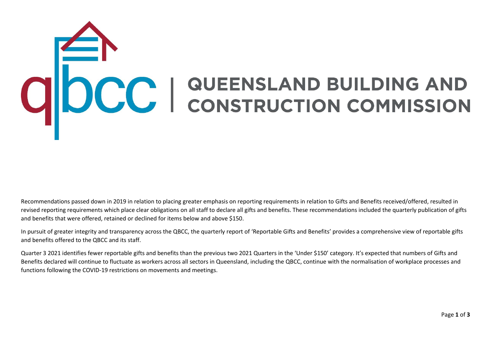## COCC | QUEENSLAND BUILDING AND

Recommendations passed down in 2019 in relation to placing greater emphasis on reporting requirements in relation to Gifts and Benefits received/offered, resulted in revised reporting requirements which place clear obligations on all staff to declare all gifts and benefits. These recommendations included the quarterly publication of gifts and benefits that were offered, retained or declined for items below and above \$150.

In pursuit of greater integrity and transparency across the QBCC, the quarterly report of 'Reportable Gifts and Benefits' provides a comprehensive view of reportable gifts and benefits offered to the QBCC and its staff.

Quarter 3 2021 identifies fewer reportable gifts and benefits than the previous two 2021 Quarters in the 'Under \$150' category. It's expected that numbers of Gifts and Benefits declared will continue to fluctuate as workers across all sectors in Queensland, including the QBCC, continue with the normalisation of workplace processes and functions following the COVID-19 restrictions on movements and meetings.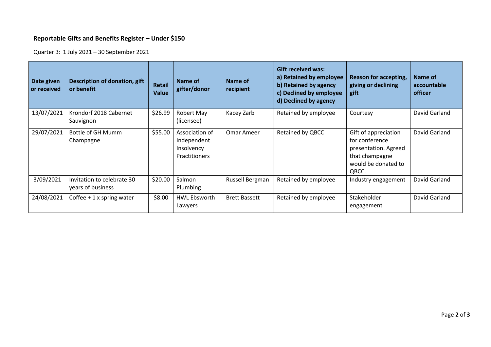## **Reportable Gifts and Benefits Register – Under \$150**

Quarter 3: 1 July 2021 – 30 September 2021

| Date given<br>or received | Description of donation, gift<br>or benefit     | <b>Retail</b><br><b>Value</b> | Name of<br>gifter/donor                                      | Name of<br>recipient | <b>Gift received was:</b><br>a) Retained by employee<br>b) Retained by agency<br>c) Declined by employee<br>d) Declined by agency | Reason for accepting,<br>giving or declining<br>gift                                                             | Name of<br>accountable<br>officer |
|---------------------------|-------------------------------------------------|-------------------------------|--------------------------------------------------------------|----------------------|-----------------------------------------------------------------------------------------------------------------------------------|------------------------------------------------------------------------------------------------------------------|-----------------------------------|
| 13/07/2021                | Krondorf 2018 Cabernet<br>Sauvignon             | \$26.99                       | Robert May<br>(licensee)                                     | Kacey Zarb           | Retained by employee                                                                                                              | Courtesy                                                                                                         | David Garland                     |
| 29/07/2021                | Bottle of GH Mumm<br>Champagne                  | \$55.00                       | Association of<br>Independent<br>Insolvency<br>Practitioners | Omar Ameer           | Retained by QBCC                                                                                                                  | Gift of appreciation<br>for conference<br>presentation. Agreed<br>that champagne<br>would be donated to<br>QBCC. | David Garland                     |
| 3/09/2021                 | Invitation to celebrate 30<br>years of business | \$20.00                       | Salmon<br>Plumbing                                           | Russell Bergman      | Retained by employee                                                                                                              | Industry engagement                                                                                              | David Garland                     |
| 24/08/2021                | Coffee $+1x$ spring water                       | \$8.00                        | <b>HWL Ebsworth</b><br>Lawyers                               | <b>Brett Bassett</b> | Retained by employee                                                                                                              | Stakeholder<br>engagement                                                                                        | David Garland                     |